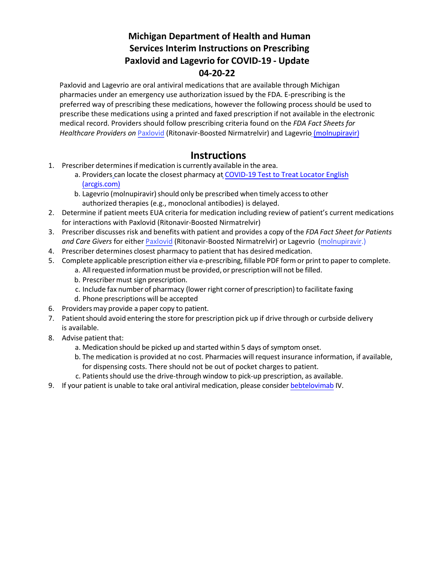# **Michigan Department of Health and Human Services Interim Instructions on Prescribing Paxlovid and Lagevrio for COVID-19 - Update 04-20-22**

Paxlovid and Lagevrio are oral antiviral medications that are available through Michigan pharmacies under an emergency use authorization issued by the FDA. E-prescribing is the preferred way of prescribing these medications, however the following process should be used to prescribe these medications using a printed and faxed prescription if not available in the electronic medical record. Providers should follow prescribing criteria found on the *FDA Fact Sheets for Healthcare Providers on* [Paxlovid](https://www.fda.gov/media/155050/download) (Ritonavir-Boosted Nirmatrelvir) and Lagevrio [\(molnupiravir\)](https://www.merck.com/eua/molnupiravir-hcp-fact-sheet.pdf)

### **Instructions**

- 1. Prescriber determines if medication is currently available in the area.
	- a. [Providers](https://rx.meijer.com/covid19/therapeuticprogram) can locate the closest pharmacy [at COVID-19](https://covid-19-test-to-treat-locator-dhhs.hub.arcgis.com/) Test to Treat Locator English [\(arcgis.com\)](https://covid-19-test-to-treat-locator-dhhs.hub.arcgis.com/)
	- b. Lagevrio (molnupiravir) should only be prescribed when timely access to other authorized therapies (e.g., monoclonal antibodies) is delayed.
- 2. Determine if patient meets EUA criteria for medication including review of patient's current medications for interactions with Paxlovid (Ritonavir-Boosted Nirmatrelvir)
- 3. Prescriber discusses risk and benefits with patient and provides a copy of the *FDA Fact Sheet for Patients and Care Givers* for either [Paxlovid](https://www.fda.gov/media/155051/download) (Ritonavir-Boosted Nirmatrelvir) or Lagevrio [\(molnupiravir.\)](https://www.fda.gov/media/155055/download?ftag=MSF0951a18)
- 4. Prescriber determines closest pharmacy to patient that has desired medication.
- 5. Complete applicable prescription either via e-prescribing,fillable PDF form or print to paperto complete.
	- a. All requested information must be provided, or prescription will not be filled.
	- b. Prescriber must sign prescription.
	- c. Include fax number of pharmacy (lower right corner of prescription) to facilitate faxing
	- d. Phone prescriptions will be accepted
- 6. Providersmay provide a paper copy to patient.
- 7. Patient should avoid entering the store for prescription pick up if drive through or curbside delivery is available.
- 8. Advise patient that:
	- a. Medication should be picked up and started within 5 days of symptom onset.
	- b. The medication is provided at no cost. Pharmacies will request insurance information, if available, for dispensing costs. There should not be out of pocket charges to patient.
	- c. Patients should use the drive-through window to pick-up prescription, as available.
- 9. If your patient is unable to take oral antiviral medication, please consider [bebtelovimab I](https://pi.lilly.com/eua/bebtelovimab-eua-factsheet-hcp.pdf)V.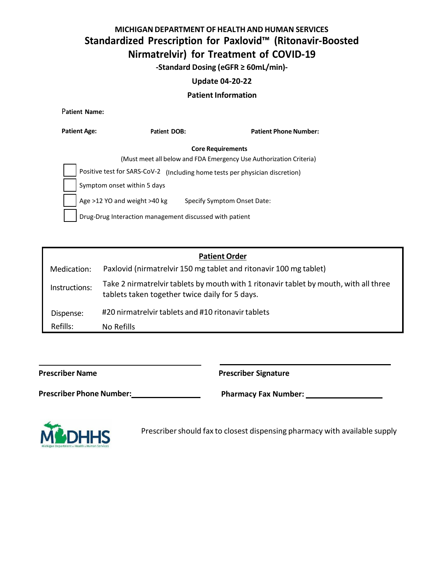# **MICHIGANDEPARTMENT OF HEALTH AND HUMAN SERVICES Standardized Prescription for Paxlovid™ (Ritonavir-Boosted Nirmatrelvir) for Treatment of COVID-19**

**-Standard Dosing (eGFR ≥ 60mL/min)-**

#### **Update 04-20-22**

#### **Patient Information**

P**atient Name:**

| <b>Patient Age:</b>          | Patient DOB:                                            | <b>Patient Phone Number:</b>                                       |
|------------------------------|---------------------------------------------------------|--------------------------------------------------------------------|
|                              |                                                         | <b>Core Requirements</b>                                           |
|                              |                                                         | (Must meet all below and FDA Emergency Use Authorization Criteria) |
| Positive test for SARS-CoV-2 |                                                         | (Including home tests per physician discretion)                    |
|                              | Symptom onset within 5 days                             |                                                                    |
|                              | Age >12 YO and weight >40 kg                            | Specify Symptom Onset Date:                                        |
|                              | Drug-Drug Interaction management discussed with patient |                                                                    |

| <b>Patient Order</b> |
|----------------------|
|----------------------|

| Medication:   | Paxlovid (nirmatrelvir 150 mg tablet and ritonavir 100 mg tablet)                                                                       |
|---------------|-----------------------------------------------------------------------------------------------------------------------------------------|
| Instructions: | Take 2 nirmatrelvir tablets by mouth with 1 ritonavir tablet by mouth, with all three<br>tablets taken together twice daily for 5 days. |
| Dispense:     | #20 nirmatrelvir tablets and #10 ritonavir tablets                                                                                      |
| Refills:      | No Refills                                                                                                                              |

**Prescriber Name Prescriber Signature**

**Prescriber Phone Number: Pharmacy Fax Number: Pharmacy Fax Number: Pharmacy Fax Number: Pharmacy Fax Number: Pharmacy Fax Number: Pharmacy Fax Number: Pharmacy Fax Number: Pharmacy Fax Number: Pharmacy F** 



Prescriber should fax to closest dispensing pharmacy with available supply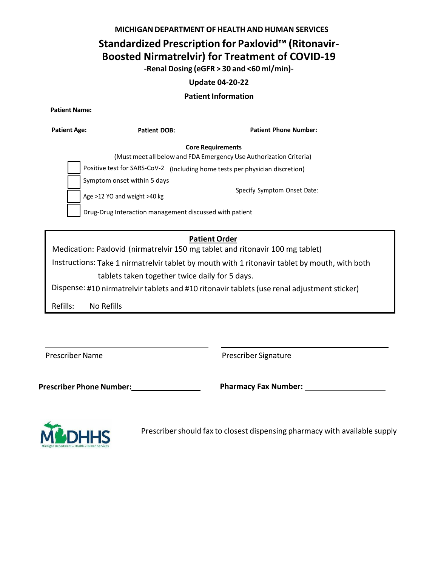**MICHIGANDEPARTMENT OF HEALTH AND HUMAN SERVICES**

## **Standardized Prescription for Paxlovid™ (Ritonavir-Boosted Nirmatrelvir) for Treatment of COVID-19**

**-Renal Dosing (eGFR > 30 and <60 ml/min)-**

### **Update 04-20-22**

### **Patient Information**

**Patient Name:**

| Patient Age: | <b>Patient DOB:</b>                                     |                          | <b>Patient Phone Number:</b>                                       |
|--------------|---------------------------------------------------------|--------------------------|--------------------------------------------------------------------|
|              |                                                         | <b>Core Requirements</b> |                                                                    |
|              |                                                         |                          | (Must meet all below and FDA Emergency Use Authorization Criteria) |
|              | Positive test for SARS-CoV-2                            |                          | (Including home tests per physician discretion)                    |
|              | Symptom onset within 5 days                             |                          |                                                                    |
|              | Age >12 YO and weight >40 kg                            |                          | Specify Symptom Onset Date:                                        |
|              | Drug-Drug Interaction management discussed with patient |                          |                                                                    |

### **Patient Order**

Medication: Paxlovid (nirmatrelvir 150 mg tablet and ritonavir 100 mg tablet)

Instructions: Take 1 nirmatrelvir tablet by mouth with 1 ritonavir tablet by mouth, with both tablets taken together twice daily for 5 days.

Dispense: #10 nirmatrelvir tablets and #10 ritonavir tablets(use renal adjustment sticker)

Refills: No Refills

Prescriber Name **Prescriber Signature** 

**Prescriber Phone Number: Pharmacy Fax Number:**



Prescriber should fax to closest dispensing pharmacy with available supply